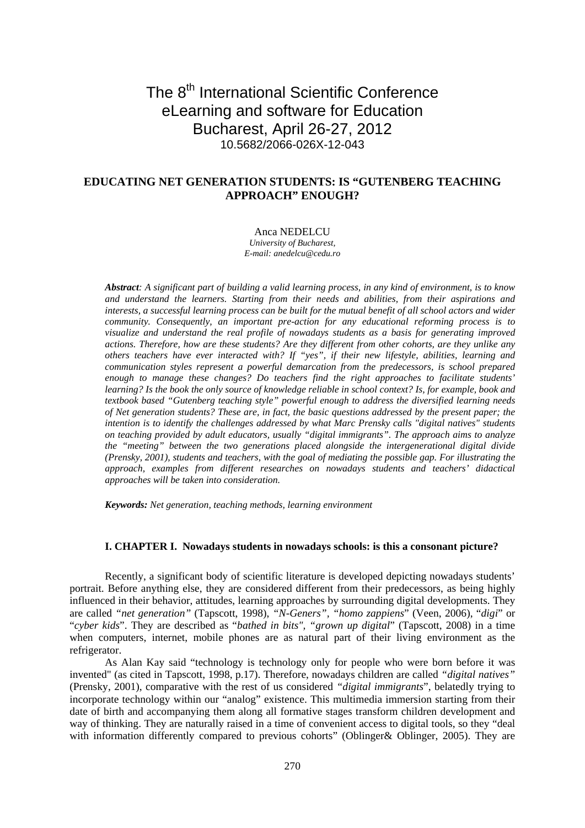# The 8<sup>th</sup> International Scientific Conference eLearning and software for Education Bucharest, April 26-27, 2012 10.5682/2066-026X-12-043

## **EDUCATING NET GENERATION STUDENTS: IS "GUTENBERG TEACHING APPROACH" ENOUGH?**

#### Anca NEDELCU

*University of Bucharest, E-mail: anedelcu@cedu.ro*

*Abstract: A significant part of building a valid learning process, in any kind of environment, is to know and understand the learners. Starting from their needs and abilities, from their aspirations and interests, a successful learning process can be built for the mutual benefit of all school actors and wider community. Consequently, an important pre-action for any educational reforming process is to visualize and understand the real profile of nowadays students as a basis for generating improved actions. Therefore, how are these students? Are they different from other cohorts, are they unlike any others teachers have ever interacted with? If "yes", if their new lifestyle, abilities, learning and communication styles represent a powerful demarcation from the predecessors, is school prepared enough to manage these changes? Do teachers find the right approaches to facilitate students' learning? Is the book the only source of knowledge reliable in school context? Is, for example, book and textbook based "Gutenberg teaching style" powerful enough to address the diversified learning needs of Net generation students? These are, in fact, the basic questions addressed by the present paper; the intention is to identify the challenges addressed by what Marc Prensky calls "digital natives" students on teaching provided by adult educators, usually "digital immigrants". The approach aims to analyze the "meeting" between the two generations placed alongside the intergenerational digital divide (Prensky, 2001), students and teachers, with the goal of mediating the possible gap. For illustrating the approach, examples from different researches on nowadays students and teachers' didactical approaches will be taken into consideration.* 

*Keywords: Net generation, teaching methods, learning environment* 

#### **I..CHAPTER I. Nowadays students in nowadays schools: is this a consonant picture?**

Recently, a significant body of scientific literature is developed depicting nowadays students' portrait. Before anything else, they are considered different from their predecessors, as being highly influenced in their behavior, attitudes, learning approaches by surrounding digital developments. They are called *"net generation"* (Tapscott, 1998), *"N-Geners", "homo zappiens*" (Veen, 2006), "*digi*" or "*cyber kids*". They are described as "*bathed in bits", "grown up digital*" (Tapscott, 2008) in a time when computers, internet, mobile phones are as natural part of their living environment as the refrigerator.

As Alan Kay said "technology is technology only for people who were born before it was invented" (as cited in Tapscott, 1998, p.17). Therefore, nowadays children are called *"digital natives"* (Prensky, 2001), comparative with the rest of us considered *"digital immigrants*", belatedly trying to incorporate technology within our "analog" existence. This multimedia immersion starting from their date of birth and accompanying them along all formative stages transform children development and way of thinking. They are naturally raised in a time of convenient access to digital tools, so they "deal with information differently compared to previous cohorts" (Oblinger & Oblinger, 2005). They are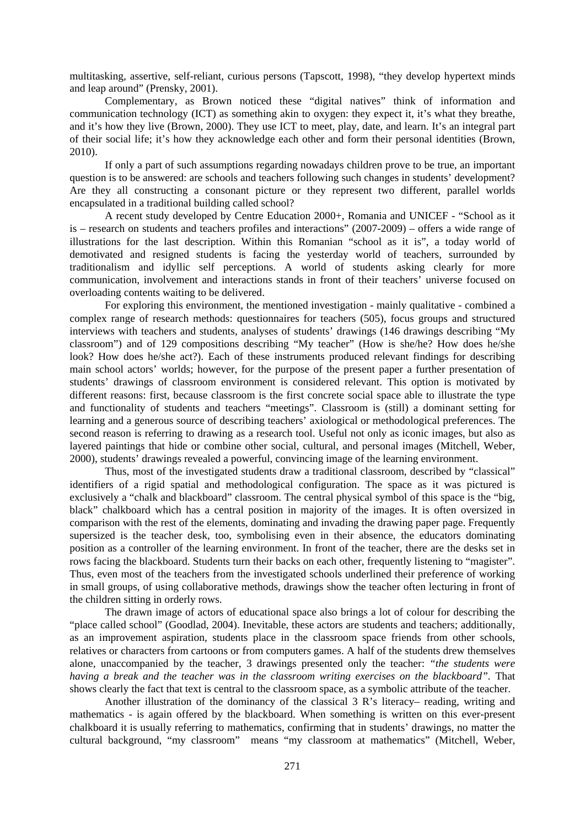multitasking, assertive, self-reliant, curious persons (Tapscott, 1998), "they develop hypertext minds and leap around" (Prensky, 2001).

Complementary, as Brown noticed these "digital natives" think of information and communication technology (ICT) as something akin to oxygen: they expect it, it's what they breathe, and it's how they live (Brown, 2000). They use ICT to meet, play, date, and learn. It's an integral part of their social life; it's how they acknowledge each other and form their personal identities (Brown, 2010).

If only a part of such assumptions regarding nowadays children prove to be true, an important question is to be answered: are schools and teachers following such changes in students' development? Are they all constructing a consonant picture or they represent two different, parallel worlds encapsulated in a traditional building called school?

A recent study developed by Centre Education 2000+, Romania and UNICEF - "School as it is – research on students and teachers profiles and interactions" (2007-2009) – offers a wide range of illustrations for the last description. Within this Romanian "school as it is", a today world of demotivated and resigned students is facing the yesterday world of teachers, surrounded by traditionalism and idyllic self perceptions. A world of students asking clearly for more communication, involvement and interactions stands in front of their teachers' universe focused on overloading contents waiting to be delivered.

For exploring this environment, the mentioned investigation - mainly qualitative - combined a complex range of research methods: questionnaires for teachers (505), focus groups and structured interviews with teachers and students, analyses of students' drawings (146 drawings describing "My classroom") and of 129 compositions describing "My teacher" (How is she/he? How does he/she look? How does he/she act?). Each of these instruments produced relevant findings for describing main school actors' worlds; however, for the purpose of the present paper a further presentation of students' drawings of classroom environment is considered relevant. This option is motivated by different reasons: first, because classroom is the first concrete social space able to illustrate the type and functionality of students and teachers "meetings". Classroom is (still) a dominant setting for learning and a generous source of describing teachers' axiological or methodological preferences. The second reason is referring to drawing as a research tool. Useful not only as iconic images, but also as layered paintings that hide or combine other social, cultural, and personal images (Mitchell, Weber, 2000), students' drawings revealed a powerful, convincing image of the learning environment.

Thus, most of the investigated students draw a traditional classroom, described by "classical" identifiers of a rigid spatial and methodological configuration. The space as it was pictured is exclusively a "chalk and blackboard" classroom. The central physical symbol of this space is the "big, black" chalkboard which has a central position in majority of the images. It is often oversized in comparison with the rest of the elements, dominating and invading the drawing paper page. Frequently supersized is the teacher desk, too, symbolising even in their absence, the educators dominating position as a controller of the learning environment. In front of the teacher, there are the desks set in rows facing the blackboard. Students turn their backs on each other, frequently listening to "magister". Thus, even most of the teachers from the investigated schools underlined their preference of working in small groups, of using collaborative methods, drawings show the teacher often lecturing in front of the children sitting in orderly rows.

The drawn image of actors of educational space also brings a lot of colour for describing the "place called school" (Goodlad, 2004). Inevitable, these actors are students and teachers; additionally, as an improvement aspiration, students place in the classroom space friends from other schools, relatives or characters from cartoons or from computers games. A half of the students drew themselves alone, unaccompanied by the teacher, 3 drawings presented only the teacher: *"the students were having a break and the teacher was in the classroom writing exercises on the blackboard".* That shows clearly the fact that text is central to the classroom space, as a symbolic attribute of the teacher.

Another illustration of the dominancy of the classical 3 R's literacy– reading, writing and mathematics - is again offered by the blackboard. When something is written on this ever-present chalkboard it is usually referring to mathematics, confirming that in students' drawings, no matter the cultural background, "my classroom" means "my classroom at mathematics" (Mitchell, Weber,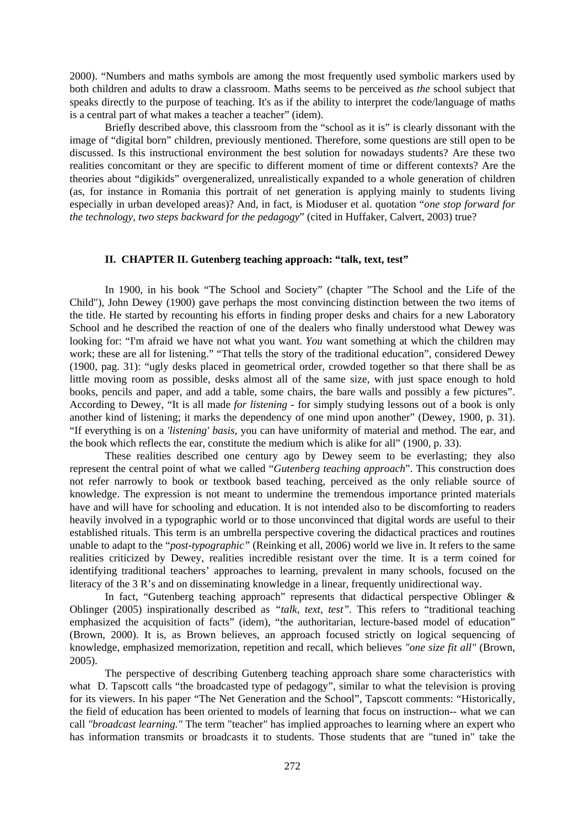2000). "Numbers and maths symbols are among the most frequently used symbolic markers used by both children and adults to draw a classroom. Maths seems to be perceived as *the* school subject that speaks directly to the purpose of teaching. It's as if the ability to interpret the code/language of maths is a central part of what makes a teacher a teacher" (idem).

Briefly described above, this classroom from the "school as it is" is clearly dissonant with the image of "digital born" children, previously mentioned. Therefore, some questions are still open to be discussed. Is this instructional environment the best solution for nowadays students? Are these two realities concomitant or they are specific to different moment of time or different contexts? Are the theories about "digikids" overgeneralized, unrealistically expanded to a whole generation of children (as, for instance in Romania this portrait of net generation is applying mainly to students living especially in urban developed areas)? And, in fact, is Mioduser et al. quotation "*one stop forward for the technology, two steps backward for the pedagogy*" (cited in Huffaker, Calvert, 2003) true?

#### **II. CHAPTER II. Gutenberg teaching approach: "talk, text, test"**

In 1900, in his book "The School and Society" (chapter "The School and the Life of the Child"), John Dewey (1900) gave perhaps the most convincing distinction between the two items of the title. He started by recounting his efforts in finding proper desks and chairs for a new Laboratory School and he described the reaction of one of the dealers who finally understood what Dewey was looking for: "I'm afraid we have not what you want. *You* want something at which the children may work; these are all for listening." "That tells the story of the traditional education", considered Dewey (1900, pag. 31): "ugly desks placed in geometrical order, crowded together so that there shall be as little moving room as possible, desks almost all of the same size, with just space enough to hold books, pencils and paper, and add a table, some chairs, the bare walls and possibly a few pictures". According to Dewey, "It is all made *for listening* - for simply studying lessons out of a book is only another kind of listening; it marks the dependency of one mind upon another" (Dewey, 1900, p. 31). "If everything is on a *'listening' basis*, you can have uniformity of material and method. The ear, and the book which reflects the ear, constitute the medium which is alike for all" (1900, p. 33).

These realities described one century ago by Dewey seem to be everlasting; they also represent the central point of what we called "*Gutenberg teaching approach*". This construction does not refer narrowly to book or textbook based teaching, perceived as the only reliable source of knowledge. The expression is not meant to undermine the tremendous importance printed materials have and will have for schooling and education. It is not intended also to be discomforting to readers heavily involved in a typographic world or to those unconvinced that digital words are useful to their established rituals. This term is an umbrella perspective covering the didactical practices and routines unable to adapt to the "*post-typographic"* (Reinking et all, 2006) world we live in. It refers to the same realities criticized by Dewey, realities incredible resistant over the time. It is a term coined for identifying traditional teachers' approaches to learning, prevalent in many schools, focused on the literacy of the 3 R's and on disseminating knowledge in a linear, frequently unidirectional way.

In fact, "Gutenberg teaching approach" represents that didactical perspective Oblinger & Oblinger (2005) inspirationally described as *"talk, text, test".* This refers to "traditional teaching emphasized the acquisition of facts" (idem), "the authoritarian, lecture-based model of education" (Brown, 2000). It is, as Brown believes, an approach focused strictly on logical sequencing of knowledge, emphasized memorization, repetition and recall, which believes *"one size fit all"* (Brown, 2005).

The perspective of describing Gutenberg teaching approach share some characteristics with what D. Tapscott calls "the broadcasted type of pedagogy", similar to what the television is proving for its viewers. In his paper "The Net Generation and the School", Tapscott comments: "Historically, the field of education has been oriented to models of learning that focus on instruction-- what we can call *"broadcast learning."* The term "teacher" has implied approaches to learning where an expert who has information transmits or broadcasts it to students. Those students that are "tuned in" take the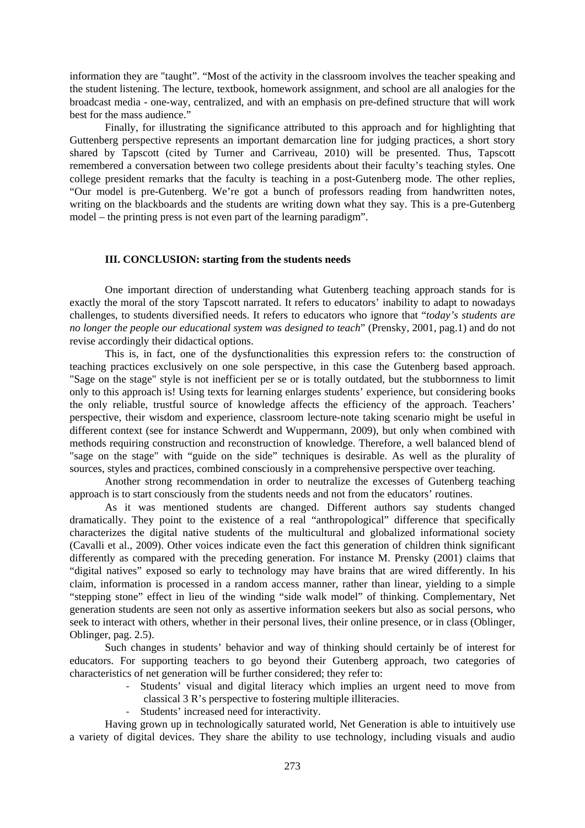information they are "taught". "Most of the activity in the classroom involves the teacher speaking and the student listening. The lecture, textbook, homework assignment, and school are all analogies for the broadcast media - one-way, centralized, and with an emphasis on pre-defined structure that will work best for the mass audience."

Finally, for illustrating the significance attributed to this approach and for highlighting that Guttenberg perspective represents an important demarcation line for judging practices, a short story shared by Tapscott (cited by Turner and Carriveau, 2010) will be presented. Thus, Tapscott remembered a conversation between two college presidents about their faculty's teaching styles. One college president remarks that the faculty is teaching in a post-Gutenberg mode. The other replies, "Our model is pre-Gutenberg. We're got a bunch of professors reading from handwritten notes, writing on the blackboards and the students are writing down what they say. This is a pre-Gutenberg model – the printing press is not even part of the learning paradigm".

#### **III. CONCLUSION: starting from the students needs**

One important direction of understanding what Gutenberg teaching approach stands for is exactly the moral of the story Tapscott narrated. It refers to educators' inability to adapt to nowadays challenges, to students diversified needs. It refers to educators who ignore that "*today's students are no longer the people our educational system was designed to teach*" (Prensky, 2001, pag.1) and do not revise accordingly their didactical options.

This is, in fact, one of the dysfunctionalities this expression refers to: the construction of teaching practices exclusively on one sole perspective, in this case the Gutenberg based approach. "Sage on the stage" style is not inefficient per se or is totally outdated, but the stubbornness to limit only to this approach is! Using texts for learning enlarges students' experience, but considering books the only reliable, trustful source of knowledge affects the efficiency of the approach. Teachers' perspective, their wisdom and experience, classroom lecture-note taking scenario might be useful in different context (see for instance Schwerdt and Wuppermann, 2009), but only when combined with methods requiring construction and reconstruction of knowledge. Therefore, a well balanced blend of "sage on the stage" with "guide on the side" techniques is desirable. As well as the plurality of sources, styles and practices, combined consciously in a comprehensive perspective over teaching.

Another strong recommendation in order to neutralize the excesses of Gutenberg teaching approach is to start consciously from the students needs and not from the educators' routines.

As it was mentioned students are changed. Different authors say students changed dramatically. They point to the existence of a real "anthropological" difference that specifically characterizes the digital native students of the multicultural and globalized informational society (Cavalli et al., 2009). Other voices indicate even the fact this generation of children think significant differently as compared with the preceding generation. For instance M. Prensky (2001) claims that "digital natives" exposed so early to technology may have brains that are wired differently. In his claim, information is processed in a random access manner, rather than linear, yielding to a simple "stepping stone" effect in lieu of the winding "side walk model" of thinking. Complementary, Net generation students are seen not only as assertive information seekers but also as social persons, who seek to interact with others, whether in their personal lives, their online presence, or in class (Oblinger, Oblinger, pag. 2.5).

Such changes in students' behavior and way of thinking should certainly be of interest for educators. For supporting teachers to go beyond their Gutenberg approach, two categories of characteristics of net generation will be further considered; they refer to:

‐ Students' visual and digital literacy which implies an urgent need to move from classical 3 R's perspective to fostering multiple illiteracies.

‐ Students' increased need for interactivity.

Having grown up in technologically saturated world, Net Generation is able to intuitively use a variety of digital devices. They share the ability to use technology, including visuals and audio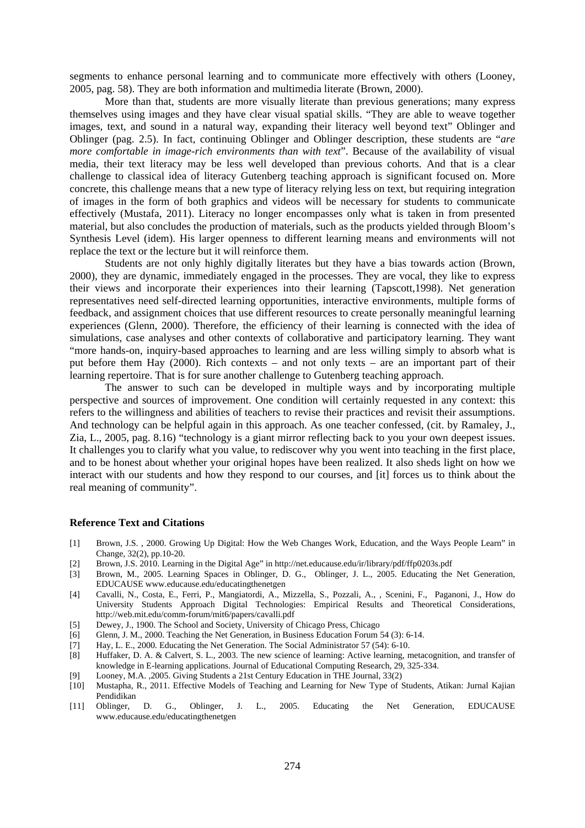segments to enhance personal learning and to communicate more effectively with others (Looney, 2005, pag. 58). They are both information and multimedia literate (Brown, 2000).

More than that, students are more visually literate than previous generations; many express themselves using images and they have clear visual spatial skills. "They are able to weave together images, text, and sound in a natural way, expanding their literacy well beyond text" Oblinger and Oblinger (pag. 2.5). In fact, continuing Oblinger and Oblinger description, these students are "*are more comfortable in image-rich environments than with text*". Because of the availability of visual media, their text literacy may be less well developed than previous cohorts. And that is a clear challenge to classical idea of literacy Gutenberg teaching approach is significant focused on. More concrete, this challenge means that a new type of literacy relying less on text, but requiring integration of images in the form of both graphics and videos will be necessary for students to communicate effectively (Mustafa, 2011). Literacy no longer encompasses only what is taken in from presented material, but also concludes the production of materials, such as the products yielded through Bloom's Synthesis Level (idem). His larger openness to different learning means and environments will not replace the text or the lecture but it will reinforce them.

Students are not only highly digitally literates but they have a bias towards action (Brown, 2000), they are dynamic, immediately engaged in the processes. They are vocal, they like to express their views and incorporate their experiences into their learning (Tapscott,1998). Net generation representatives need self-directed learning opportunities, interactive environments, multiple forms of feedback, and assignment choices that use different resources to create personally meaningful learning experiences (Glenn, 2000). Therefore, the efficiency of their learning is connected with the idea of simulations, case analyses and other contexts of collaborative and participatory learning. They want "more hands-on, inquiry-based approaches to learning and are less willing simply to absorb what is put before them Hay (2000). Rich contexts – and not only texts – are an important part of their learning repertoire. That is for sure another challenge to Gutenberg teaching approach.

 The answer to such can be developed in multiple ways and by incorporating multiple perspective and sources of improvement. One condition will certainly requested in any context: this refers to the willingness and abilities of teachers to revise their practices and revisit their assumptions. And technology can be helpful again in this approach. As one teacher confessed, (cit. by Ramaley, J., Zia, L., 2005, pag. 8.16) "technology is a giant mirror reflecting back to you your own deepest issues. It challenges you to clarify what you value, to rediscover why you went into teaching in the first place, and to be honest about whether your original hopes have been realized. It also sheds light on how we interact with our students and how they respond to our courses, and [it] forces us to think about the real meaning of community".

### **Reference Text and Citations**

- [1] Brown, J.S. , 2000. Growing Up Digital: How the Web Changes Work, Education, and the Ways People Learn" in Change, 32(2), pp.10-20.
- [2] Brown, J.S. 2010. Learning in the Digital Age" in http://net.educause.edu/ir/library/pdf/ffp0203s.pdf
- [3] Brown, M., 2005. Learning Spaces in Oblinger, D. G., Oblinger, J. L., 2005. Educating the Net Generation, EDUCAUSE www.educause.edu/educatingthenetgen
- [4] Cavalli, N., Costa, E., Ferri, P., Mangiatordi, A., Mizzella, S., Pozzali, A., , Scenini, F., Paganoni, J., How do University Students Approach Digital Technologies: Empirical Results and Theoretical Considerations, http://web.mit.edu/comm-forum/mit6/papers/cavalli.pdf
- [5] Dewey, J., 1900. The School and Society, University of Chicago Press, Chicago
- [6] Glenn, J. M., 2000. Teaching the Net Generation, in Business Education Forum 54 (3): 6-14.
- [7] Hay, L. E., 2000. Educating the Net Generation. The Social Administrator 57 (54): 6-10.
- [8] Huffaker, D. A. & Calvert, S. L., 2003. The new science of learning: Active learning, metacognition, and transfer of knowledge in E-learning applications. Journal of Educational Computing Research, 29, 325-334.
- [9] Looney, M.A. ,2005. Giving Students a 21st Century Education in THE Journal, 33(2)
- [10] Mustapha, R., 2011. Effective Models of Teaching and Learning for New Type of Students, Atikan: Jurnal Kajian Pendidikan
- [11] Oblinger, D. G., Oblinger, J. L., 2005. Educating the Net Generation, EDUCAUSE www.educause.edu/educatingthenetgen